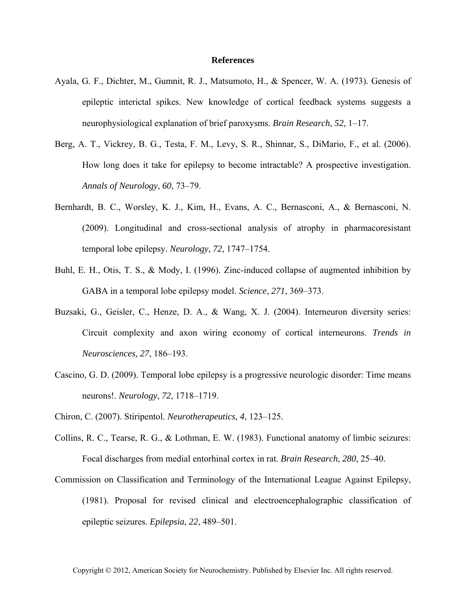## **References**

- Ayala, G. F., Dichter, M., Gumnit, R. J., Matsumoto, H., & Spencer, W. A. (1973). Genesis of epileptic interictal spikes. New knowledge of cortical feedback systems suggests a neurophysiological explanation of brief paroxysms. *Brain Research*, *52*, 1–17.
- Berg, A. T., Vickrey, B. G., Testa, F. M., Levy, S. R., Shinnar, S., DiMario, F., et al. (2006). How long does it take for epilepsy to become intractable? A prospective investigation. *Annals of Neurology*, *60*, 73–79.
- Bernhardt, B. C., Worsley, K. J., Kim, H., Evans, A. C., Bernasconi, A., & Bernasconi, N. (2009). Longitudinal and cross-sectional analysis of atrophy in pharmacoresistant temporal lobe epilepsy. *Neurology*, *72*, 1747–1754.
- Buhl, E. H., Otis, T. S., & Mody, I. (1996). Zinc-induced collapse of augmented inhibition by GABA in a temporal lobe epilepsy model. *Science*, *271*, 369–373.
- Buzsaki, G., Geisler, C., Henze, D. A., & Wang, X. J. (2004). Interneuron diversity series: Circuit complexity and axon wiring economy of cortical interneurons. *Trends in Neurosciences*, *27*, 186–193.
- Cascino, G. D. (2009). Temporal lobe epilepsy is a progressive neurologic disorder: Time means neurons!. *Neurology*, *72*, 1718–1719.
- Chiron, C. (2007). Stiripentol. *Neurotherapeutics*, *4*, 123–125.
- Collins, R. C., Tearse, R. G., & Lothman, E. W. (1983). Functional anatomy of limbic seizures: Focal discharges from medial entorhinal cortex in rat. *Brain Research*, *280*, 25–40.
- Commission on Classification and Terminology of the International League Against Epilepsy, (1981). Proposal for revised clinical and electroencephalographic classification of epileptic seizures. *Epilepsia*, *22*, 489–501.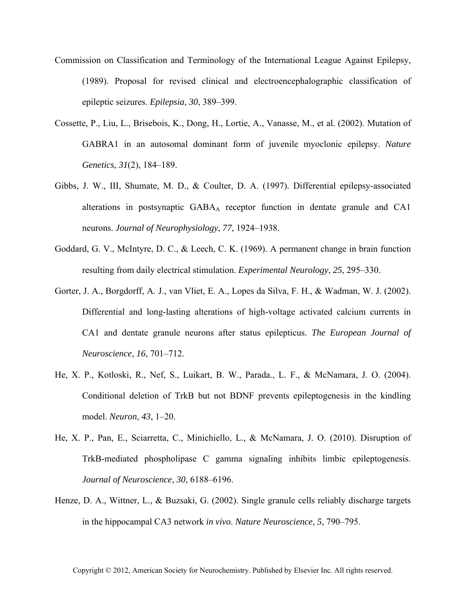- Commission on Classification and Terminology of the International League Against Epilepsy, (1989). Proposal for revised clinical and electroencephalographic classification of epileptic seizures. *Epilepsia*, *30*, 389–399.
- Cossette, P., Liu, L., Brisebois, K., Dong, H., Lortie, A., Vanasse, M., et al. (2002). Mutation of GABRA1 in an autosomal dominant form of juvenile myoclonic epilepsy. *Nature Genetics*, *31*(2), 184–189.
- Gibbs, J. W., III, Shumate, M. D., & Coulter, D. A. (1997). Differential epilepsy-associated alterations in postsynaptic GABAA receptor function in dentate granule and CA1 neurons. *Journal of Neurophysiology*, *77*, 1924–1938.
- Goddard, G. V., McIntyre, D. C., & Leech, C. K. (1969). A permanent change in brain function resulting from daily electrical stimulation. *Experimental Neurology*, *25*, 295–330.
- Gorter, J. A., Borgdorff, A. J., van Vliet, E. A., Lopes da Silva, F. H., & Wadman, W. J. (2002). Differential and long-lasting alterations of high-voltage activated calcium currents in CA1 and dentate granule neurons after status epilepticus. *The European Journal of Neuroscience*, *16*, 701–712.
- He, X. P., Kotloski, R., Nef, S., Luikart, B. W., Parada., L. F., & McNamara, J. O. (2004). Conditional deletion of TrkB but not BDNF prevents epileptogenesis in the kindling model. *Neuron*, *43*, 1–20.
- He, X. P., Pan, E., Sciarretta, C., Minichiello, L., & McNamara, J. O. (2010). Disruption of TrkB-mediated phospholipase C gamma signaling inhibits limbic epileptogenesis. *Journal of Neuroscience*, *30*, 6188–6196.
- Henze, D. A., Wittner, L., & Buzsaki, G. (2002). Single granule cells reliably discharge targets in the hippocampal CA3 network *in vivo*. *Nature Neuroscience*, *5*, 790–795.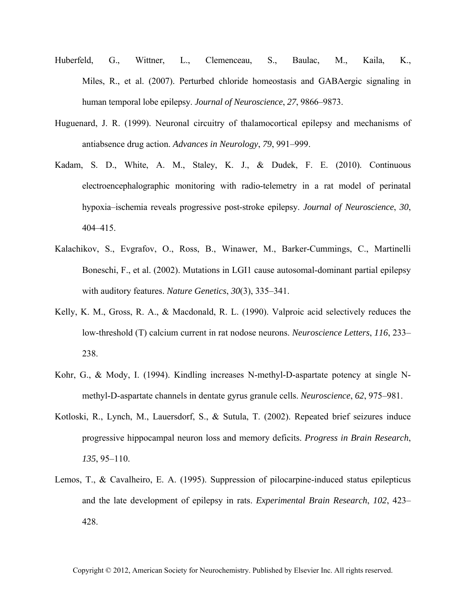- Huberfeld, G., Wittner, L., Clemenceau, S., Baulac, M., Kaila, K., Miles, R., et al. (2007). Perturbed chloride homeostasis and GABAergic signaling in human temporal lobe epilepsy. *Journal of Neuroscience*, *27*, 9866–9873.
- Huguenard, J. R. (1999). Neuronal circuitry of thalamocortical epilepsy and mechanisms of antiabsence drug action. *Advances in Neurology*, *79*, 991–999.
- Kadam, S. D., White, A. M., Staley, K. J., & Dudek, F. E. (2010). Continuous electroencephalographic monitoring with radio-telemetry in a rat model of perinatal hypoxia–ischemia reveals progressive post-stroke epilepsy. *Journal of Neuroscience*, *30*, 404–415.
- Kalachikov, S., Evgrafov, O., Ross, B., Winawer, M., Barker-Cummings, C., Martinelli Boneschi, F., et al. (2002). Mutations in LGI1 cause autosomal-dominant partial epilepsy with auditory features. *Nature Genetics*, *30*(3), 335–341.
- Kelly, K. M., Gross, R. A., & Macdonald, R. L. (1990). Valproic acid selectively reduces the low-threshold (T) calcium current in rat nodose neurons. *Neuroscience Letters*, *116*, 233– 238.
- Kohr, G., & Mody, I. (1994). Kindling increases N-methyl-D-aspartate potency at single Nmethyl-D-aspartate channels in dentate gyrus granule cells. *Neuroscience*, *62*, 975–981.
- Kotloski, R., Lynch, M., Lauersdorf, S., & Sutula, T. (2002). Repeated brief seizures induce progressive hippocampal neuron loss and memory deficits. *Progress in Brain Research*, *135*, 95–110.
- Lemos, T., & Cavalheiro, E. A. (1995). Suppression of pilocarpine-induced status epilepticus and the late development of epilepsy in rats. *Experimental Brain Research*, *102*, 423– 428.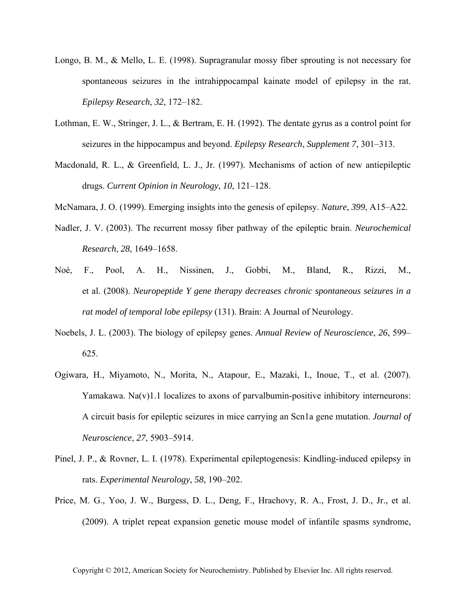- Longo, B. M., & Mello, L. E. (1998). Supragranular mossy fiber sprouting is not necessary for spontaneous seizures in the intrahippocampal kainate model of epilepsy in the rat. *Epilepsy Research*, *32*, 172–182.
- Lothman, E. W., Stringer, J. L., & Bertram, E. H. (1992). The dentate gyrus as a control point for seizures in the hippocampus and beyond. *Epilepsy Research*, *Supplement 7*, 301–313.
- Macdonald, R. L., & Greenfield, L. J., Jr. (1997). Mechanisms of action of new antiepileptic drugs. *Current Opinion in Neurology*, *10*, 121–128.
- McNamara, J. O. (1999). Emerging insights into the genesis of epilepsy. *Nature*, *399*, A15–A22.
- Nadler, J. V. (2003). The recurrent mossy fiber pathway of the epileptic brain. *Neurochemical Research*, *28*, 1649–1658.
- Noè, F., Pool, A. H., Nissinen, J., Gobbi, M., Bland, R., Rizzi, M., et al. (2008). *Neuropeptide Y gene therapy decreases chronic spontaneous seizures in a rat model of temporal lobe epilepsy* (131). Brain: A Journal of Neurology.
- Noebels, J. L. (2003). The biology of epilepsy genes. *Annual Review of Neuroscience*, *26*, 599– 625.
- Ogiwara, H., Miyamoto, N., Morita, N., Atapour, E., Mazaki, I., Inoue, T., et al. (2007). Yamakawa. Na $(v)$ 1.1 localizes to axons of parvalbumin-positive inhibitory interneurons: A circuit basis for epileptic seizures in mice carrying an Scn1a gene mutation. *Journal of Neuroscience*, *27*, 5903–5914.
- Pinel, J. P., & Rovner, L. I. (1978). Experimental epileptogenesis: Kindling-induced epilepsy in rats. *Experimental Neurology*, *58*, 190–202.
- Price, M. G., Yoo, J. W., Burgess, D. L., Deng, F., Hrachovy, R. A., Frost, J. D., Jr., et al. (2009). A triplet repeat expansion genetic mouse model of infantile spasms syndrome,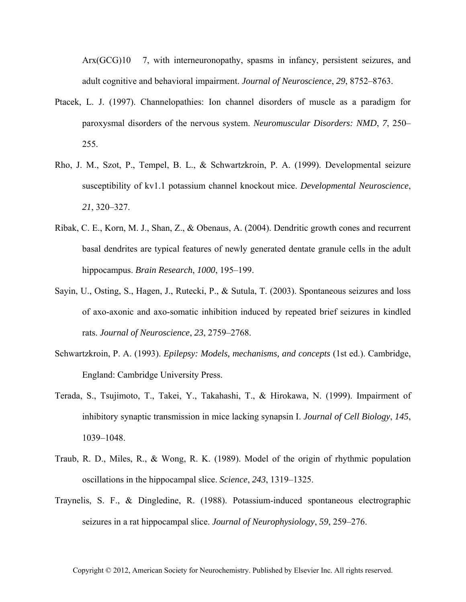Arx(GCG)10 7, with interneuronopathy, spasms in infancy, persistent seizures, and adult cognitive and behavioral impairment. *Journal of Neuroscience*, *29*, 8752–8763.

- Ptacek, L. J. (1997). Channelopathies: Ion channel disorders of muscle as a paradigm for paroxysmal disorders of the nervous system. *Neuromuscular Disorders: NMD*, *7*, 250– 255.
- Rho, J. M., Szot, P., Tempel, B. L., & Schwartzkroin, P. A. (1999). Developmental seizure susceptibility of kv1.1 potassium channel knockout mice. *Developmental Neuroscience*, *21*, 320–327.
- Ribak, C. E., Korn, M. J., Shan, Z., & Obenaus, A. (2004). Dendritic growth cones and recurrent basal dendrites are typical features of newly generated dentate granule cells in the adult hippocampus. *Brain Research*, *1000*, 195–199.
- Sayin, U., Osting, S., Hagen, J., Rutecki, P., & Sutula, T. (2003). Spontaneous seizures and loss of axo-axonic and axo-somatic inhibition induced by repeated brief seizures in kindled rats. *Journal of Neuroscience*, *23*, 2759–2768.
- Schwartzkroin, P. A. (1993). *Epilepsy: Models, mechanisms, and concepts* (1st ed.). Cambridge, England: Cambridge University Press.
- Terada, S., Tsujimoto, T., Takei, Y., Takahashi, T., & Hirokawa, N. (1999). Impairment of inhibitory synaptic transmission in mice lacking synapsin I. *Journal of Cell Biology*, *145*, 1039–1048.
- Traub, R. D., Miles, R., & Wong, R. K. (1989). Model of the origin of rhythmic population oscillations in the hippocampal slice. *Science*, *243*, 1319–1325.
- Traynelis, S. F., & Dingledine, R. (1988). Potassium-induced spontaneous electrographic seizures in a rat hippocampal slice. *Journal of Neurophysiology*, *59*, 259–276.